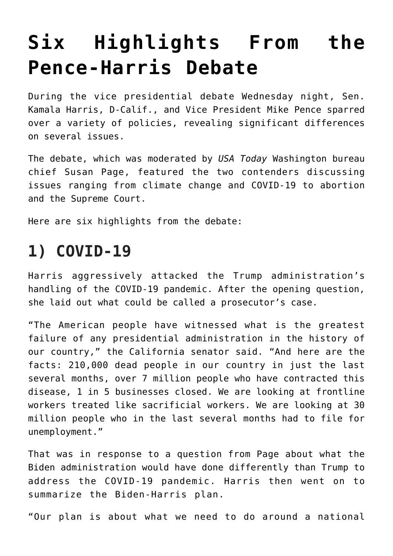# **[Six Highlights From the](https://intellectualtakeout.org/2020/10/six-highlights-from-the-pence-harris-debate/) [Pence-Harris Debate](https://intellectualtakeout.org/2020/10/six-highlights-from-the-pence-harris-debate/)**

During the vice presidential debate Wednesday night, Sen. Kamala Harris, D-Calif., and Vice President Mike Pence sparred over a variety of policies, revealing significant differences on several issues.

The debate, which was moderated by *USA Today* Washington bureau chief Susan Page, featured the two contenders discussing issues ranging from climate change and COVID-19 to abortion and the Supreme Court.

Here are six highlights from the debate:

# **1) COVID-19**

Harris aggressively attacked the Trump administration's handling of the COVID-19 pandemic. After the opening question, she laid out what could be called a prosecutor's case.

"The American people have witnessed what is the greatest failure of any presidential administration in the history of our country," the California senator said. "And here are the facts: 210,000 dead people in our country in just the last several months, over 7 million people who have contracted this disease, 1 in 5 businesses closed. We are looking at frontline workers treated like sacrificial workers. We are looking at 30 million people who in the last several months had to file for unemployment."

That was in response to a question from Page about what the Biden administration would have done differently than Trump to address the COVID-19 pandemic. Harris then went on to summarize the Biden-Harris plan.

"Our plan is about what we need to do around a national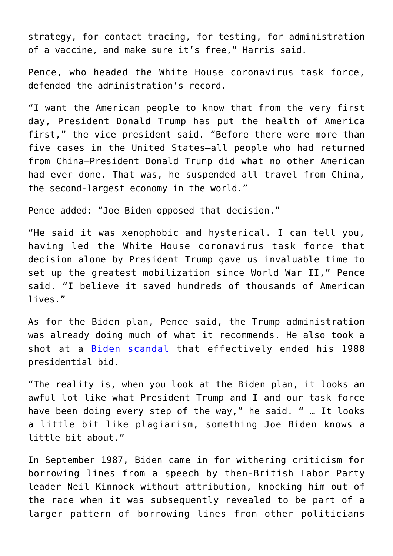strategy, for contact tracing, for testing, for administration of a vaccine, and make sure it's free," Harris said.

Pence, who headed the White House coronavirus task force, defended the administration's record.

"I want the American people to know that from the very first day, President Donald Trump has put the health of America first," the vice president said. "Before there were more than five cases in the United States—all people who had returned from China—President Donald Trump did what no other American had ever done. That was, he suspended all travel from China, the second-largest economy in the world."

Pence added: "Joe Biden opposed that decision."

"He said it was xenophobic and hysterical. I can tell you, having led the White House coronavirus task force that decision alone by President Trump gave us invaluable time to set up the greatest mobilization since World War II," Pence said. "I believe it saved hundreds of thousands of American lives."

As for the Biden plan, Pence said, the Trump administration was already doing much of what it recommends. He also took a shot at a **[Biden scandal](https://www.washingtonpost.com/investigations/echoes-of-bidens-1987-plagiarism-scandal-continue-to-reverberate/2019/06/05/dbaf3716-7292-11e9-9eb4-0828f5389013_story.html)** that effectively ended his 1988 presidential bid.

"The reality is, when you look at the Biden plan, it looks an awful lot like what President Trump and I and our task force have been doing every step of the way," he said. " … It looks a little bit like plagiarism, something Joe Biden knows a little bit about."

In September 1987, Biden came in for withering criticism for borrowing lines from a speech by then-British Labor Party leader Neil Kinnock without attribution, knocking him out of the race when it was subsequently revealed to be part of a larger pattern of borrowing lines from other politicians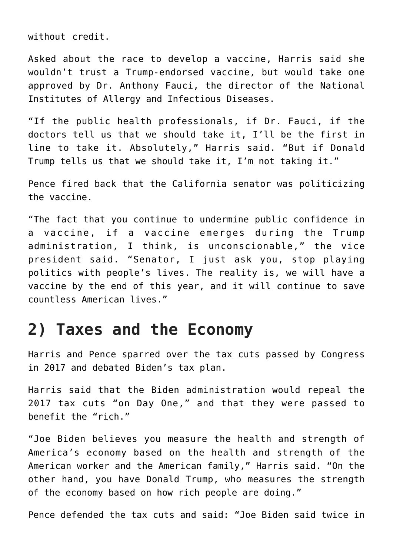without credit.

Asked about the race to develop a vaccine, Harris said she wouldn't trust a Trump-endorsed vaccine, but would take one approved by Dr. Anthony Fauci, the director of the National Institutes of Allergy and Infectious Diseases.

"If the public health professionals, if Dr. Fauci, if the doctors tell us that we should take it, I'll be the first in line to take it. Absolutely," Harris said. "But if Donald Trump tells us that we should take it, I'm not taking it."

Pence fired back that the California senator was politicizing the vaccine.

"The fact that you continue to undermine public confidence in a vaccine, if a vaccine emerges during the Trump administration, I think, is unconscionable," the vice president said. "Senator, I just ask you, stop playing politics with people's lives. The reality is, we will have a vaccine by the end of this year, and it will continue to save countless American lives."

#### **2) Taxes and the Economy**

Harris and Pence sparred over the tax cuts passed by Congress in 2017 and debated Biden's tax plan.

Harris said that the Biden administration would repeal the 2017 tax cuts "on Day One," and that they were passed to benefit the "rich."

"Joe Biden believes you measure the health and strength of America's economy based on the health and strength of the American worker and the American family," Harris said. "On the other hand, you have Donald Trump, who measures the strength of the economy based on how rich people are doing."

Pence defended the tax cuts and said: "Joe Biden said twice in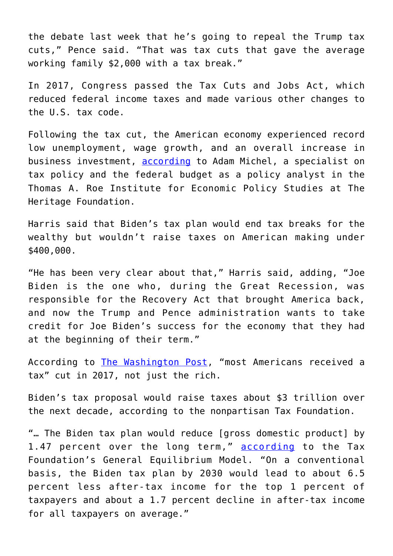the debate last week that he's going to repeal the Trump tax cuts," Pence said. "That was tax cuts that gave the average working family \$2,000 with a tax break."

In 2017, Congress passed the Tax Cuts and Jobs Act, which reduced federal income taxes and made various other changes to the U.S. tax code.

Following the tax cut, the American economy experienced record low unemployment, wage growth, and an overall increase in business investment, [according](https://www.dailysignal.com/2019/12/12/how-2-years-of-tax-cuts-have-supported-our-strong-economy/) to Adam Michel, a specialist on tax policy and the federal budget as a policy analyst in the Thomas A. Roe Institute for Economic Policy Studies at The Heritage Foundation.

Harris said that Biden's tax plan would end tax breaks for the wealthy but wouldn't raise taxes on American making under \$400,000.

"He has been very clear about that," Harris said, adding, "Joe Biden is the one who, during the Great Recession, was responsible for the Recovery Act that brought America back, and now the Trump and Pence administration wants to take credit for Joe Biden's success for the economy that they had at the beginning of their term."

According to [The Washington Post,](https://www.washingtonpost.com/politics/2019/05/01/bidens-false-claim-that-no-one-rich-got-trumps-tax-cuts/) "most Americans received a tax" cut in 2017, not just the rich.

Biden's tax proposal would raise taxes about \$3 trillion over the next decade, according to the nonpartisan Tax Foundation.

"… The Biden tax plan would reduce [gross domestic product] by 1.47 percent over the long term," [according](https://taxfoundation.org/joe-biden-tax-plan-2020/) to the Tax Foundation's General Equilibrium Model. "On a conventional basis, the Biden tax plan by 2030 would lead to about 6.5 percent less after-tax income for the top 1 percent of taxpayers and about a 1.7 percent decline in after-tax income for all taxpayers on average."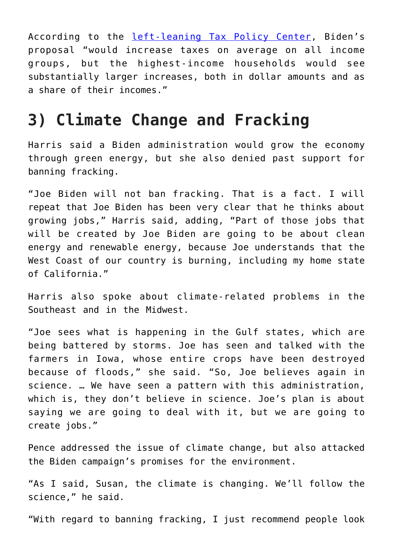According to the [left-leaning Tax Policy Center,](https://www.taxpolicycenter.org/publications/analysis-former-vice-president-bidens-tax-proposals/full) Biden's proposal "would increase taxes on average on all income groups, but the highest-income households would see substantially larger increases, both in dollar amounts and as a share of their incomes."

### **3) Climate Change and Fracking**

Harris said a Biden administration would grow the economy through green energy, but she also denied past support for banning fracking.

"Joe Biden will not ban fracking. That is a fact. I will repeat that Joe Biden has been very clear that he thinks about growing jobs," Harris said, adding, "Part of those jobs that will be created by Joe Biden are going to be about clean energy and renewable energy, because Joe understands that the West Coast of our country is burning, including my home state of California."

Harris also spoke about climate-related problems in the Southeast and in the Midwest.

"Joe sees what is happening in the Gulf states, which are being battered by storms. Joe has seen and talked with the farmers in Iowa, whose entire crops have been destroyed because of floods," she said. "So, Joe believes again in science. … We have seen a pattern with this administration, which is, they don't believe in science. Joe's plan is about saying we are going to deal with it, but we are going to create jobs."

Pence addressed the issue of climate change, but also attacked the Biden campaign's promises for the environment.

"As I said, Susan, the climate is changing. We'll follow the science," he said.

"With regard to banning fracking, I just recommend people look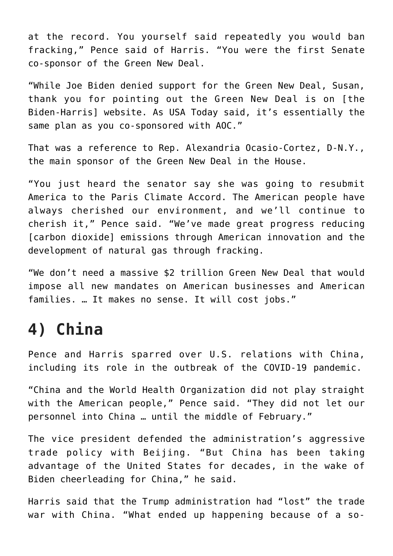at the record. You yourself said repeatedly you would ban fracking," Pence said of Harris. "You were the first Senate co-sponsor of the Green New Deal.

"While Joe Biden denied support for the Green New Deal, Susan, thank you for pointing out the Green New Deal is on [the Biden-Harris] website. As USA Today said, it's essentially the same plan as you co-sponsored with AOC."

That was a reference to Rep. Alexandria Ocasio-Cortez, D-N.Y., the main sponsor of the Green New Deal in the House.

"You just heard the senator say she was going to resubmit America to the Paris Climate Accord. The American people have always cherished our environment, and we'll continue to cherish it," Pence said. "We've made great progress reducing [carbon dioxide] emissions through American innovation and the development of natural gas through fracking.

"We don't need a massive \$2 trillion Green New Deal that would impose all new mandates on American businesses and American families. … It makes no sense. It will cost jobs."

## **4) China**

Pence and Harris sparred over U.S. relations with China, including its role in the outbreak of the COVID-19 pandemic.

"China and the World Health Organization did not play straight with the American people," Pence said. "They did not let our personnel into China … until the middle of February."

The vice president defended the administration's aggressive trade policy with Beijing. "But China has been taking advantage of the United States for decades, in the wake of Biden cheerleading for China," he said.

Harris said that the Trump administration had "lost" the trade war with China. "What ended up happening because of a so-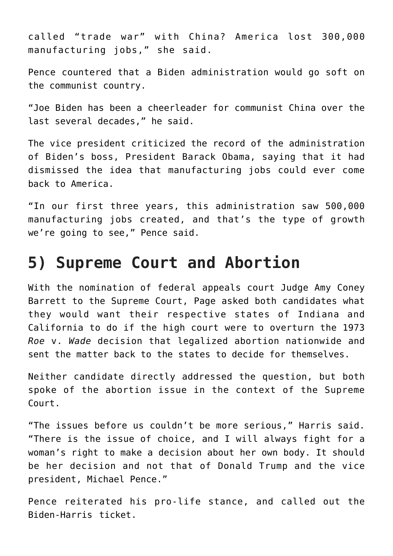called "trade war" with China? America lost 300,000 manufacturing jobs," she said.

Pence countered that a Biden administration would go soft on the communist country.

"Joe Biden has been a cheerleader for communist China over the last several decades," he said.

The vice president criticized the record of the administration of Biden's boss, President Barack Obama, saying that it had dismissed the idea that manufacturing jobs could ever come back to America.

"In our first three years, this administration saw 500,000 manufacturing jobs created, and that's the type of growth we're going to see," Pence said.

#### **5) Supreme Court and Abortion**

With the nomination of federal appeals court Judge Amy Coney Barrett to the Supreme Court, Page asked both candidates what they would want their respective states of Indiana and California to do if the high court were to overturn the 1973 *Roe* v. *Wade* decision that legalized abortion nationwide and sent the matter back to the states to decide for themselves.

Neither candidate directly addressed the question, but both spoke of the abortion issue in the context of the Supreme Court.

"The issues before us couldn't be more serious," Harris said. "There is the issue of choice, and I will always fight for a woman's right to make a decision about her own body. It should be her decision and not that of Donald Trump and the vice president, Michael Pence."

Pence reiterated his pro-life stance, and called out the Biden-Harris ticket.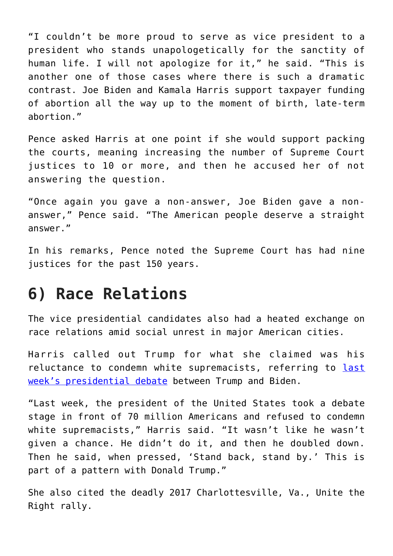"I couldn't be more proud to serve as vice president to a president who stands unapologetically for the sanctity of human life. I will not apologize for it," he said. "This is another one of those cases where there is such a dramatic contrast. Joe Biden and Kamala Harris support taxpayer funding of abortion all the way up to the moment of birth, late-term abortion."

Pence asked Harris at one point if she would support packing the courts, meaning increasing the number of Supreme Court justices to 10 or more, and then he accused her of not answering the question.

"Once again you gave a non-answer, Joe Biden gave a nonanswer," Pence said. "The American people deserve a straight answer."

In his remarks, Pence noted the Supreme Court has had nine justices for the past 150 years.

### **6) Race Relations**

The vice presidential candidates also had a heated exchange on race relations amid social unrest in major American cities.

Harris called out Trump for what she claimed was his reluctance to condemn white supremacists, referring to [last](https://www.dailysignal.com/2020/09/30/6-highlights-from-trump-biden-debate/) [week's presidential debate](https://www.dailysignal.com/2020/09/30/6-highlights-from-trump-biden-debate/) between Trump and Biden.

"Last week, the president of the United States took a debate stage in front of 70 million Americans and refused to condemn white supremacists," Harris said. "It wasn't like he wasn't given a chance. He didn't do it, and then he doubled down. Then he said, when pressed, 'Stand back, stand by.' This is part of a pattern with Donald Trump."

She also cited the deadly 2017 Charlottesville, Va., Unite the Right rally.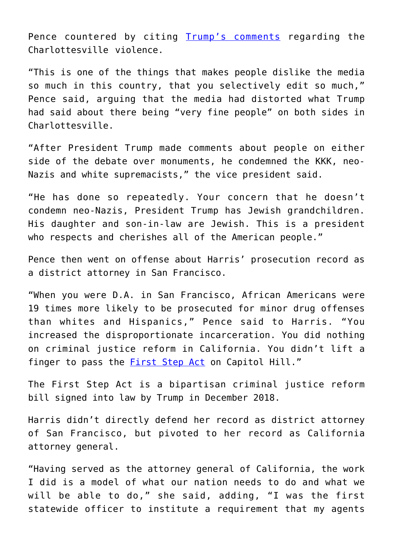Pence countered by citing [Trump's comments](https://www.dailysignal.com/2019/11/05/the-left-right-divide-is-about-reality-itself/) regarding the Charlottesville violence.

"This is one of the things that makes people dislike the media so much in this country, that you selectively edit so much," Pence said, arguing that the media had distorted what Trump had said about there being "very fine people" on both sides in Charlottesville.

"After President Trump made comments about people on either side of the debate over monuments, he condemned the KKK, neo-Nazis and white supremacists," the vice president said.

"He has done so repeatedly. Your concern that he doesn't condemn neo-Nazis, President Trump has Jewish grandchildren. His daughter and son-in-law are Jewish. This is a president who respects and cherishes all of the American people."

Pence then went on offense about Harris' prosecution record as a district attorney in San Francisco.

"When you were D.A. in San Francisco, African Americans were 19 times more likely to be prosecuted for minor drug offenses than whites and Hispanics," Pence said to Harris. "You increased the disproportionate incarceration. You did nothing on criminal justice reform in California. You didn't lift a finger to pass the **First Step Act** on Capitol Hill."

The First Step Act is a bipartisan criminal justice reform bill signed into law by Trump in December 2018.

Harris didn't directly defend her record as district attorney of San Francisco, but pivoted to her record as California attorney general.

"Having served as the attorney general of California, the work I did is a model of what our nation needs to do and what we will be able to do," she said, adding, "I was the first statewide officer to institute a requirement that my agents